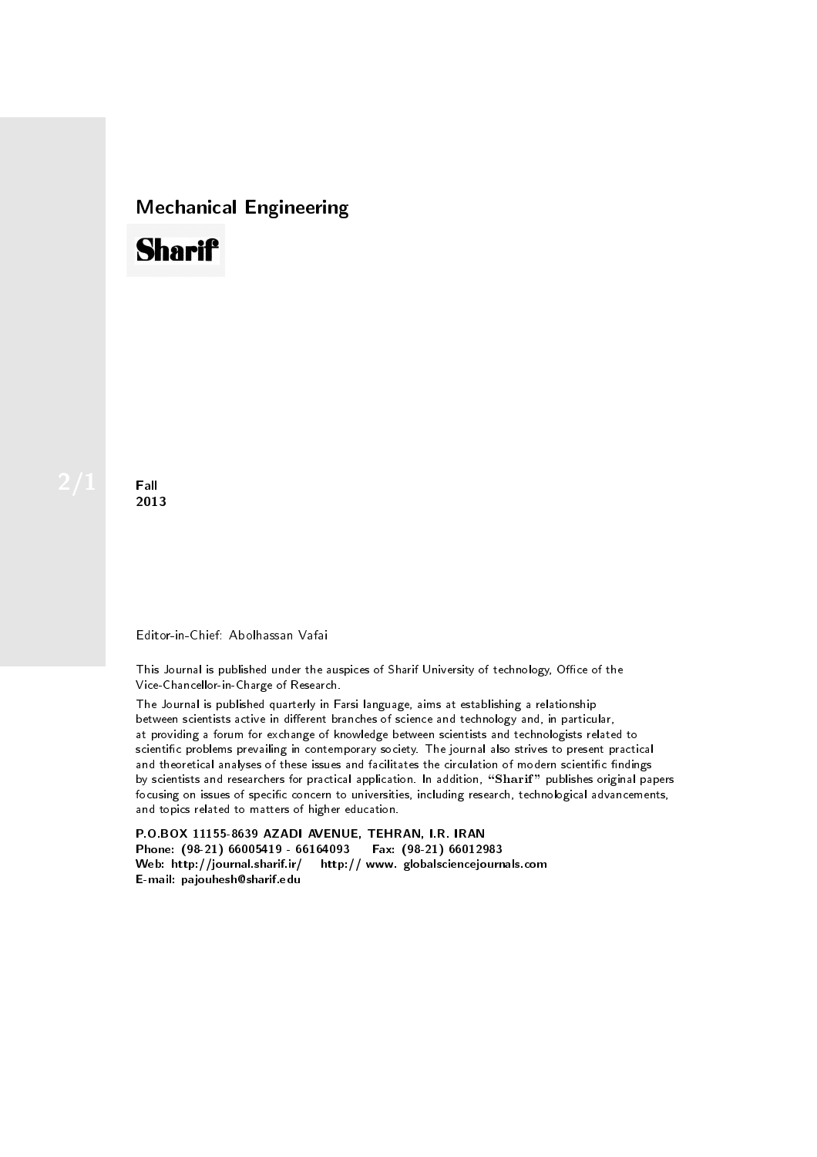## Mechanical Engineering



**Fall** 2013

## Editor-in-Chief: Abolhassan Vafai

This Journal is published under the auspices of Sharif University of technology, Office of the Vice-Chancellor-in-Charge of Research.

The Journal is published quarterly in Farsi language, aims at establishing a relationship between scientists active in different branches of science and technology and, in particular, at providing a forum for exchange of knowledge between scientists and technologists related to scientic problems prevailing in contemporary society. The journal also strives to present practical and theoretical analyses of these issues and facilitates the circulation of modern scientific findings by scientists and researchers for practical application. In addition, "Sharif" publishes original papers focusing on issues of specific concern to universities, including research, technological advancements, and topics related to matters of higher education.

P.O.BOX 11155-8639 AZADI AVENUE, TEHRAN, I.R. IRAN Phone: (98-21) 66005419 - 66164093 Fax: (98-21) 66012983 Web: http://journal.sharif.ir/ http:// www. globalsciencejournals.com E-mail: pajouhesh@sharif.edu